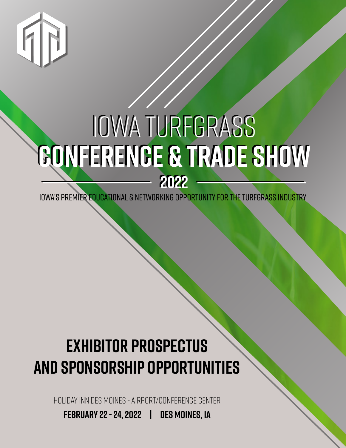

# Iowa Turfgrass Iowa Turfgrass **CONFERENCE & TRADE SHOW CONFERENCE & TRADE SHOW 2022 2022**

Iowa's premier educational & networking opportunity for the turfgrass industry

### **exhibitor prospectus and sponsorship opportunities**

holiday inn des moines - airport/CONFERENCE CENTER

**february 22 - 24, 2022 | des moines, ia**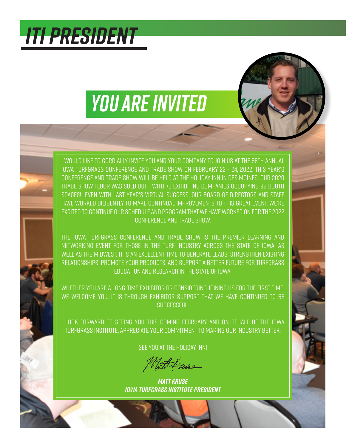## *ITI PRESIDENT*

# *YOU ARE INVITED*

I would like to cordially invite you and your company to join us at the 88th Annual Iowa Turfgrass Conference and Trade Show on February 22 - 24, 2022. This year's Conference and Trade Show will be held at the holiday inn in des moines. Our 2020 Trade Show floor was sold out - with 73 exhibiting companies occupying 99 booth spaces! Even with last year's virtual success, our board of directors and staff have worked diligently to make continual improvements to this great event. we're excited to continue our schedule and program that we have worked on for the 2022 Conference and Trade Show.

The Iowa Turfgrass Conference and Trade Show is the premier learning and networking event for those in the turf industry across the state of Iowa, as well as the midwest. It is an excellent time to generate leads, strengthen existing relationships, promote your products, and support a better future for turfgrass education and research in the state of Iowa.

Whether you are a long-time exhibitor or considering joining us for the first time, we welcome you. It is through exhibitor support that we have continued to be successful.

I look forward to seeing you this coming February and on behalf of the Iowa Turfgrass Institute, appreciate your commitment to making our industry better.

See you at The holiday inn!

attleme

*Matt Kruse Iowa Turfgrass Institute President*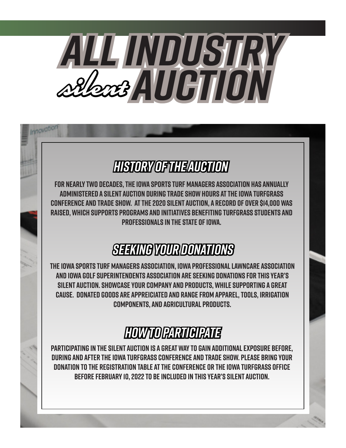

### *History of THE AUCTION*

**For nearly two decades, the Iowa Sports Turf Managers Association has annually administered a Silent Auction during trade show hours at the Iowa Turfgrass Conference and Trade Show. At the 2020 Silent Auction, a record of over \$14,000 was raised, which supports programs and initiatives benefiting turfgrass students and professionals in the state of Iowa.**

### *SEEKING YOUR DONATIONS*

**The Iowa Sports Turf Managers Association, Iowa Professional LawnCare Association and Iowa Golf Superintendents Association are seeking donations for this year's Silent Auction. Showcase your company and products, while supporting a great cause. donated goods are appreiciated and range from apparel, tools, irrigation components, and agricultural products.**

### *HOW TO PARTICIPATE*

**Participating in the Silent Auction is a great way to gain additional exposure before, during and after the Iowa Turfgrass Conference and Trade Show. please bring your donation to the registration table at the conference or the Iowa turfgrass office before february 10, 2022 to be included in this year's silent auction.**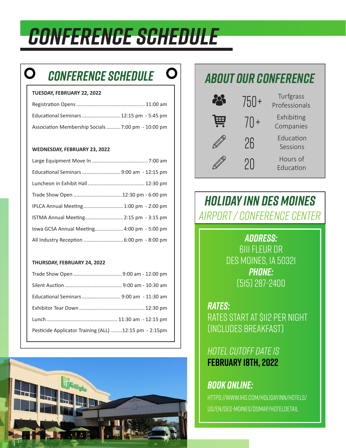## *CONFERENCE SCHEDULE*

### O *CONFERENCE SCHEDULE ABOUT OUR CONFERENCE*

### **TUESDAY, FEBRUARY 22, 2022**

| Educational Seminars  12:15 pm - 5:45 pm         |  |
|--------------------------------------------------|--|
| Association Membership Socials7:00 pm - 10:00 pm |  |

### **WEDNESDAY, FEBRUARY 23, 2022**

| Trade Show Open  12:30 pm - 6:00 pm        |  |
|--------------------------------------------|--|
| IPLCA Annual Meeting 1:00 pm - 2:00 pm     |  |
| ISTMA Annual Meeting 2:15 pm - 3:15 pm     |  |
| lowa GCSA Annual Meeting 4:00 pm - 5:00 pm |  |
| All Industry Reception  6:00 pm - 8:00 pm  |  |

### **THURSDAY, FEBRUARY 24, 2022**

| Educational Seminars  9:00 am - 11:30 am              |  |
|-------------------------------------------------------|--|
|                                                       |  |
|                                                       |  |
| Pesticide Applicator Training (ALL) 12:15 pm - 2:15pm |  |



|      | $/5() +$ | Turfgrass<br>Professionals |
|------|----------|----------------------------|
| يتتا | $/[] +$  | Exhibiting<br>Companies    |
|      | 26       | Education<br>Sessions      |
|      | 211      | Hours of<br>Education      |

### *HOLIDAY INN DES MOINES AIRPORT / CONFERENCE CENTER*

*ADDRESS:* 6111 Fleur Dr Des Moines, IA 50321 *PHONE:* (515) 287-2400

*RATES:* Rates start at \$112 per night (Includes Breakfast)

### *Hotel Cutoff Date is*  **February 18th, 2022**

### *BOOK ONLINE:*

https://www.ihg.com/holidayinn/hotels/ us/en/des-moines/dsmap/hoteldetail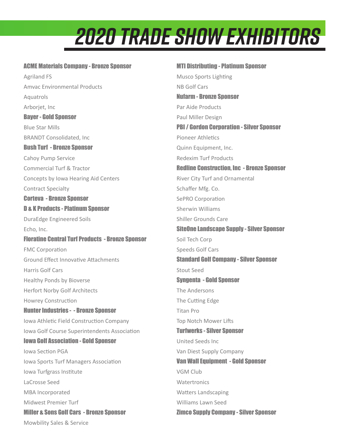# *2020 Trade show Exhibitors*

### ACME Materials Company - Bronze Sponsor

Agriland FS Amvac Environmental Products Aquatrols Arborjet, Inc Bayer - Gold Sponsor Blue Star Mills BRANDT Consolidated, Inc Bush Turf - Bronze Sponsor Cahoy Pump Service Commercial Turf & Tractor Concepts by Iowa Hearing Aid Centers Contract Specialty Corteva - Bronze Sponsor D & K Products - Platinum Sponsor DuraEdge Engineered Soils Echo, Inc. Floratine Central Turf Products - Bronze Sponsor FMC Corporation Ground Effect Innovative Attachments Harris Golf Cars Healthy Ponds by Bioverse Herfort Norby Golf Architects Howrey Construction Hunter Industries - - Bronze Sponsor Iowa Athletic Field Construction Company Iowa Golf Course Superintendents Association Iowa Golf Association - Gold Sponsor Iowa Section PGA Iowa Sports Turf Managers Association Iowa Turfgrass Institute LaCrosse Seed MBA Incorporated Midwest Premier Turf Miller & Sons Golf Cars - Bronze Sponsor Mowbility Sales & Service

MTI Distributing - Platinum Sponsor Musco Sports Lighting NB Golf Cars Nufarm - Bronze Sponsor Par Aide Products Paul Miller Design PBI / Gordon Corporation - Silver Sponsor Pioneer Athletics Quinn Equipment, Inc. Redexim Turf Products Redline Construction, Inc - Bronze Sponsor River City Turf and Ornamental Schaffer Mfg. Co. SePRO Corporation Sherwin Williams Shiller Grounds Care SiteOne Landscape Supply - Silver Sponsor Soil Tech Corp Speeds Golf Cars Standard Golf Company - Silver Sponsor Stout Seed Syngenta - Gold Snonsor The Andersons The Cutting Edge Titan Pro Top Notch Mower Lifts **Turfwerks - Silver Snonsor** United Seeds Inc Van Diest Supply Company Van Wall Equipment - Gold Sponsor VGM Club **Watertronics** Watters Landscaping Williams Lawn Seed Zimco Supply Company - Silver Sponsor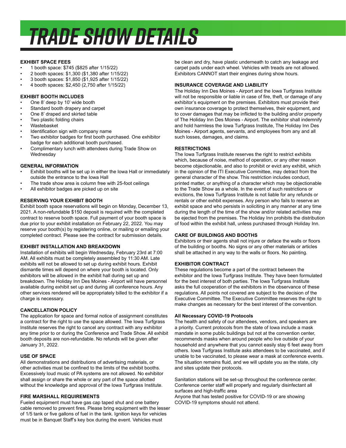# *TRADE SHOW DETAILS*

#### **EXHIBIT SPACE FEES**

- 1 booth space: \$745 (\$825 after 1/15/22)
- 2 booth spaces: \$1,300 (\$1,380 after 1/15/22)
- 3 booth spaces: \$1,850 (\$1,925 after 1/15/22)
- 4 booth spaces: \$2,450 (2,750 after 1/15/22)

### **EXHIBIT BOOTH INCLUDES**

- One 8' deep by 10' wide booth
- Standard booth drapery and carpet
- One 8' draped and skirted table
- Two plastic folding chairs
- Wastebasket
- Identification sign with company name
- Two exhibitor badges for first booth purchased. One exhibitor badge for each additional booth purchased.
- Complimentary lunch with attendees during Trade Show on **Wednesday**

### **GENERAL INFORMATION**

- Exhibit booths will be set up in either the Iowa Hall or immediately outside the entrance to the Iowa Hall
- The trade show area is column free with 25-foot ceilings
- All exhibitor badges are picked up on site

### **RESERVING YOUR EXHIBIT BOOTH**

Exhibit booth space reservations will begin on Monday, December 13, 2021. A non-refundable \$150 deposit is required with the completed contract to reserve booth space. Full payment of your booth space is due prior to your exhibit installation on February 22, 2022. You may reserve your booth(s) by registering online, or mailing or emailing your completed contract. Please see the contract for submission details.

### **EXHIBIT INSTALLATION AND BREAKDOWN**

Installation of exhibits will begin Wednesday, February 23rd at 7:00 AM. All exhibits must be completely assembled by 11:30 AM. Late exhibits will not be allowed to set up during exhibit hours. Exhibit dismantle times will depend on where your booth is located. Only exhibitors will be allowed in the exhibit hall during set up and breakdown. The Holiday Inn Des Moines - Airport will have personnel available during exhibit set up and during all conference hours. Any other services rendered will be appropriately billed to the exhibitor if a charge is necessary.

### **CANCELLATION POLICY**

The application for space and formal notice of assignment constitutes a contract for the right to use the space allowed. The Iowa Turfgrass Institute reserves the right to cancel any contract with any exhibitor any time prior to or during the Conference and Trade Show. All exhibit booth deposits are non-refundable. No refunds will be given after January 31, 2022.

### **USE OF SPACE**

All demonstrations and distributions of advertising materials, or other activities must be confined to the limits of the exhibit booths. Excessively loud music of PA systems are not allowed. No exhibitor shall assign or share the whole or any part of the space allotted without the knowledge and approval of the Iowa Turfgrass Institute.

### **FIRE MARSHALL REQUIREMENTS**

Fueled equipment must have gas cap taped shut and one battery cable removed to prevent fires. Please bring equipment with the lesser of 1/5 tank or five gallons of fuel in the tank. Ignition keys for vehicles must be in Banquet Staff's key box during the event. Vehicles must

be clean and dry, have plastic underneath to catch any leakage and carpet pads under each wheel. Vehicles with treads are not allowed. Exhibitors CANNOT start their engines during show hours.

### **INSURANCE COVERAGE AND LIABILITY**

The Holiday Inn Des Moines - Airport and the Iowa Turfgrass Institute will not be responsible or liable in case of fire, theft, or damage of any exhibitor's equipment on the premises. Exhibitors must provide their own insurance coverage to protect themselves, their equipment, and to cover damages that may be inflicted to the building and/or property of The Holiday Inn Des Moines - Airport. The exhibitor shall indemnify and hold harmless the Iowa Turfgrass Institute, The Holiday Inn Des Moines - Airport agents, servants, and employees from any and all such losses, damages, and claims.

### **RESTRICTIONS**

The Iowa Turfgrass Institute reserves the right to restrict exhibits which, because of noise, method of operation, or any other reason become objectionable, and also to prohibit or evict any exhibit, which in the opinion of the ITI Executive Committee, may detract from the general character of the show. This restriction includes conduct, printed matter, or anything of a character which may be objectionable to the Trade Show as a whole. In the event of such restrictions or evictions, the Iowa Turfgrass Institute is not liable for any refunds or rentals or other exhbit expenses. Any person who fails to reserve an exhibit space and who persists in soliciting in any manner at any time during the length of the time of the show and/or related activities may be ejected from the premises. The Holiday Inn prohibits the distribution of food within the exhibit hall, unless purchased through Holiday Inn.

### **CARE OF BUILDINGS AND BOOTHS**

Exhibitors or their agents shall not injure or deface the walls or floors of the building or booths. No signs or any other materials or articles shall be attached in any way to the walls or floors. No painting.

### **EXHIBITOR CONTRACT**

These regulations become a part of the contract between the exhibitor and the Iowa Turfgrass Institute. They have been formulated for the best interest of both parties. The Iowa Turfgrass Institute asks the full cooperation of the exhibitors in the observance of these regulations. All points not covered are subject to the decision of the Executive Committee. The Executive Committee reserves the right to make changes as necessary for the best interest of the convention.

#### **All Necessary COVID-19 Protocols**

The health and safety of our attendees, vendors, and speakers are a priority. Current protocols from the state of Iowa include a mask mandate in some public buildings but not at the convention center, recommends masks when around people who live outside of your household and anywhere that you cannot easily stay 6 feet away from others. Iowa Turfgrass Institute asks attendees to be vaccinated, and if unable to be vaccinated, to please wear a mask at conference events. The situation remains fluid, and we will update you as the state, city and sites update their protocols.

Sanitation stations will be set-up throughout the conference center. Conference center staff will properly and regularly disinfectant all surfaces and high-traffic area

Anyone that has tested positive for COVID-19 or are showing COVID-19 symptoms should not attend.